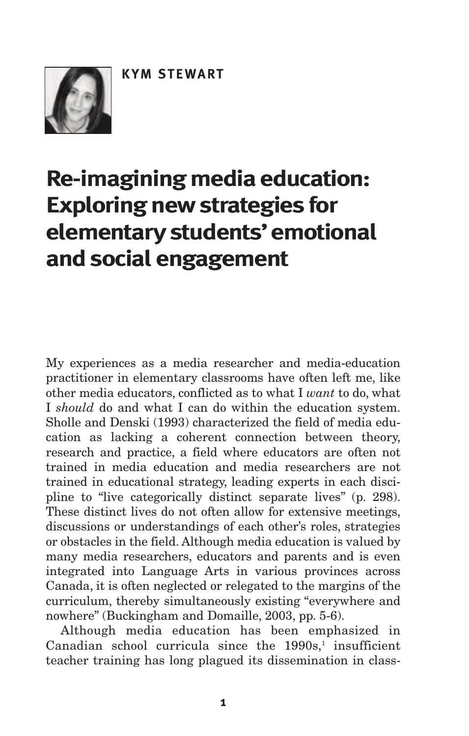

# **Re-imagining media education: Exploring new strategies for elementary students'emotional andsocial engagement**

My experiences as a media researcher and media-education practitioner in elementary classrooms have often left me, like other media educators, conflicted as to what I *want* to do, what I *should* do and what I can do within the education system. Sholle and Denski (1993) characterized the field of media education as lacking a coherent connection between theory, research and practice, a field where educators are often not trained in media education and media researchers are not trained in educational strategy, leading experts in each discipline to "live categorically distinct separate lives" (p. 298). These distinct lives do not often allow for extensive meetings, discussions or understandings of each other's roles, strategies or obstacles in the field. Although media education is valued by many media researchers, educators and parents and is even integrated into Language Arts in various provinces across Canada, it is often neglected or relegated to the margins of the curriculum, thereby simultaneously existing "everywhere and nowhere" (Buckingham and Domaille, 2003, pp. 5-6).

Although media education has been emphasized in Canadian school curricula since the 1990s, <sup>1</sup> insufficient teacher training has long plagued its dissemination in class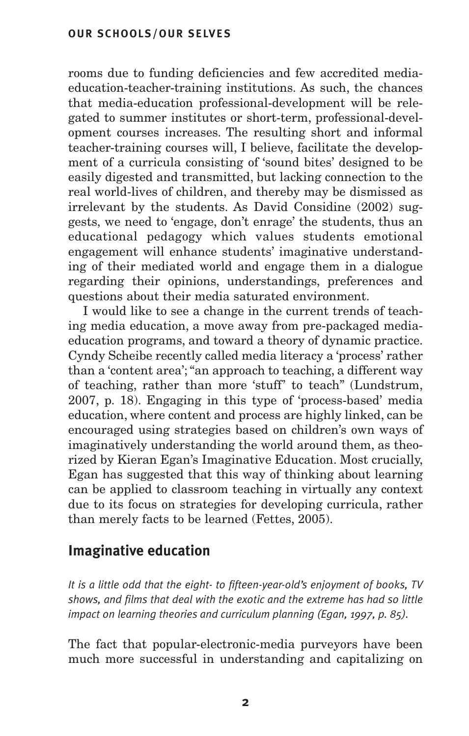rooms due to funding deficiencies and few accredited mediaeducation-teacher-training institutions. As such, the chances that media-education professional-development will be relegated to summer institutes or short-term, professional-development courses increases. The resulting short and informal teacher-training courses will, I believe, facilitate the development of a curricula consisting of 'sound bites' designed to be easily digested and transmitted, but lacking connection to the real world-lives of children, and thereby may be dismissed as irrelevant by the students. As David Considine (2002) suggests, we need to 'engage, don't enrage' the students, thus an educational pedagogy which values students emotional engagement will enhance students' imaginative understanding of their mediated world and engage them in a dialogue regarding their opinions, understandings, preferences and questions about their media saturated environment.

I would like to see a change in the current trends of teaching media education, a move away from pre-packaged mediaeducation programs, and toward a theory of dynamic practice. Cyndy Scheibe recently called media literacy a 'process' rather than a 'content area';"an approach to teaching, a different way of teaching, rather than more 'stuff' to teach" (Lundstrum, 2007, p. 18). Engaging in this type of 'process-based' media education, where content and process are highly linked, can be encouraged using strategies based on children's own ways of imaginatively understanding the world around them, as theorized by Kieran Egan's Imaginative Education. Most crucially, Egan has suggested that this way of thinking about learning can be applied to classroom teaching in virtually any context due to its focus on strategies for developing curricula, rather than merely facts to be learned (Fettes, 2005).

# **Imaginative education**

*It is a little odd that the eight- to fifteen-year-old's enjoyment of books, TV shows, and films that deal with the exotic and the extreme has had so little impact on learning theories and curriculum planning (Egan, 1997, p. 85).*

The fact that popular-electronic-media purveyors have been much more successful in understanding and capitalizing on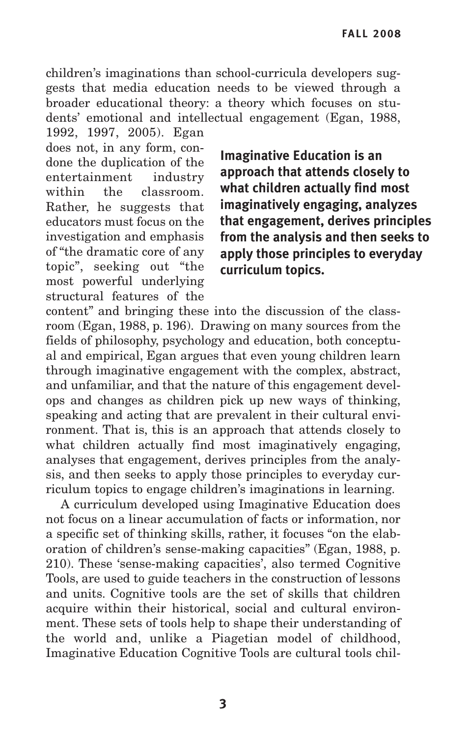children's imaginations than school-curricula developers suggests that media education needs to be viewed through a broader educational theory: a theory which focuses on students' emotional and intellectual engagement (Egan, 1988,

1992, 1997, 2005). Egan does not, in any form, condone the duplication of the entertainment industry within the classroom. Rather, he suggests that educators must focus on the investigation and emphasis of "the dramatic core of any topic", seeking out "the most powerful underlying structural features of the

**Imaginative Education is an approach that attends closely to what children actually find most imaginatively engaging, analyzes that engagement, derives principles from the analysis and then seeks to apply those principles to everyday curriculum topics.**

content" and bringing these into the discussion of the classroom (Egan, 1988, p. 196). Drawing on many sources from the fields of philosophy, psychology and education, both conceptual and empirical, Egan argues that even young children learn through imaginative engagement with the complex, abstract, and unfamiliar, and that the nature of this engagement develops and changes as children pick up new ways of thinking, speaking and acting that are prevalent in their cultural environment. That is, this is an approach that attends closely to what children actually find most imaginatively engaging, analyses that engagement, derives principles from the analysis, and then seeks to apply those principles to everyday curriculum topics to engage children's imaginations in learning.

A curriculum developed using Imaginative Education does not focus on a linear accumulation of facts or information, nor a specific set of thinking skills, rather, it focuses "on the elaboration of children's sense-making capacities" (Egan, 1988, p. 210). These 'sense-making capacities', also termed Cognitive Tools, are used to guide teachers in the construction of lessons and units. Cognitive tools are the set of skills that children acquire within their historical, social and cultural environment. These sets of tools help to shape their understanding of the world and, unlike a Piagetian model of childhood, Imaginative Education Cognitive Tools are cultural tools chil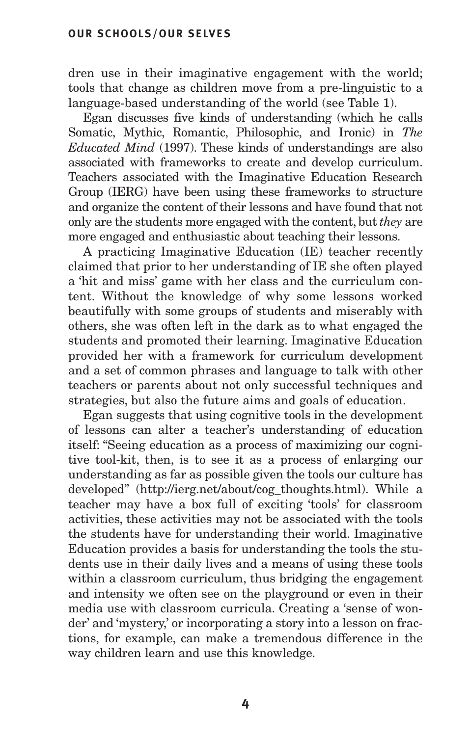dren use in their imaginative engagement with the world; tools that change as children move from a pre-linguistic to a language-based understanding of the world (see Table 1).

Egan discusses five kinds of understanding (which he calls Somatic, Mythic, Romantic, Philosophic, and Ironic) in *The Educated Mind* (1997). These kinds of understandings are also associated with frameworks to create and develop curriculum. Teachers associated with the Imaginative Education Research Group (IERG) have been using these frameworks to structure and organize the content of their lessons and have found that not only are the students more engaged with the content, but *they* are more engaged and enthusiastic about teaching their lessons.

A practicing Imaginative Education (IE) teacher recently claimed that prior to her understanding of IE she often played a 'hit and miss' game with her class and the curriculum content. Without the knowledge of why some lessons worked beautifully with some groups of students and miserably with others, she was often left in the dark as to what engaged the students and promoted their learning. Imaginative Education provided her with a framework for curriculum development and a set of common phrases and language to talk with other teachers or parents about not only successful techniques and strategies, but also the future aims and goals of education.

Egan suggests that using cognitive tools in the development of lessons can alter a teacher's understanding of education itself: "Seeing education as a process of maximizing our cognitive tool-kit, then, is to see it as a process of enlarging our understanding as far as possible given the tools our culture has developed" (http://ierg.net/about/cog\_thoughts.html). While a teacher may have a box full of exciting 'tools' for classroom activities, these activities may not be associated with the tools the students have for understanding their world. Imaginative Education provides a basis for understanding the tools the students use in their daily lives and a means of using these tools within a classroom curriculum, thus bridging the engagement and intensity we often see on the playground or even in their media use with classroom curricula. Creating a 'sense of wonder' and 'mystery,' or incorporating a story into a lesson on fractions, for example, can make a tremendous difference in the way children learn and use this knowledge.

**4**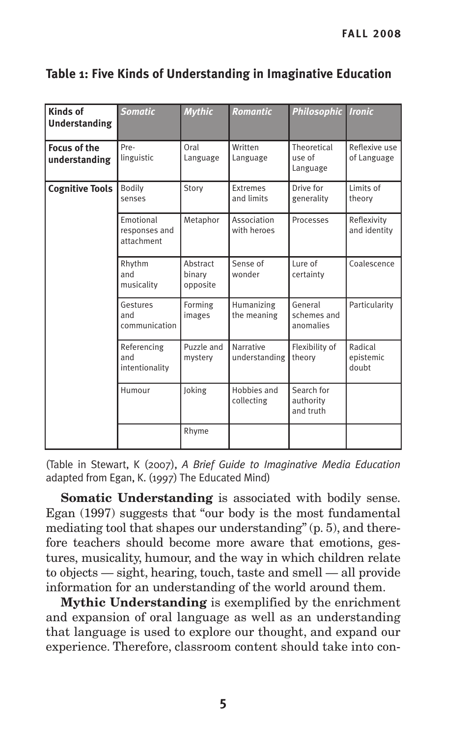| <b>Kinds of</b><br><b>Understanding</b> | <b>Somatic</b>                           | <b>Mythic</b>                  | <b>Romantic</b>               | <b>Philosophic Ironic</b>            |                               |
|-----------------------------------------|------------------------------------------|--------------------------------|-------------------------------|--------------------------------------|-------------------------------|
| <b>Focus of the</b><br>understanding    | Pre-<br>linguistic                       | Oral<br>Language               | Written<br>Language           | Theoretical<br>use of<br>Language    | Reflexive use<br>of Language  |
| <b>Cognitive Tools</b>                  | Bodily<br>senses                         | Story                          | <b>Extremes</b><br>and limits | Drive for<br>generality              | Limits of<br>theory           |
|                                         | Emotional<br>responses and<br>attachment | Metaphor                       | Association<br>with heroes    | Processes                            | Reflexivity<br>and identity   |
|                                         | Rhythm<br>and<br>musicality              | Abstract<br>binary<br>opposite | Sense of<br>wonder            | Lure of<br>certainty                 | Coalescence                   |
|                                         | Gestures<br>and<br>communication         | Forming<br>images              | Humanizing<br>the meaning     | General<br>schemes and<br>anomalies  | Particularity                 |
|                                         | Referencing<br>and<br>intentionality     | Puzzle and<br>mystery          | Narrative<br>understanding    | Flexibility of<br>theory             | Radical<br>epistemic<br>doubt |
|                                         | Humour                                   | Joking                         | Hobbies and<br>collecting     | Search for<br>authority<br>and truth |                               |
|                                         |                                          | Rhyme                          |                               |                                      |                               |

## **Table 1: Five Kinds of Understanding in Imaginative Education**

(Table in Stewart, K (2007), *A Brief Guide to Imaginative Media Education* adapted from Egan, K. (1997) The Educated Mind)

**Somatic Understanding** is associated with bodily sense. Egan (1997) suggests that "our body is the most fundamental mediating tool that shapes our understanding" (p. 5), and therefore teachers should become more aware that emotions, gestures, musicality, humour, and the way in which children relate to objects — sight, hearing, touch, taste and smell — all provide information for an understanding of the world around them.

**Mythic Understanding** is exemplified by the enrichment and expansion of oral language as well as an understanding that language is used to explore our thought, and expand our experience. Therefore, classroom content should take into con-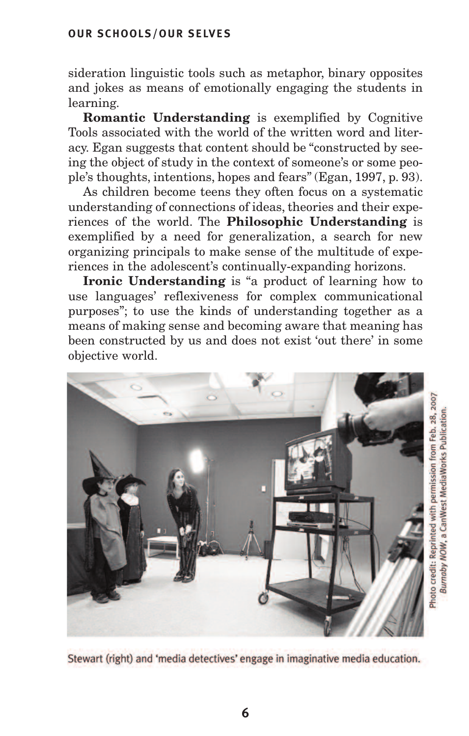#### **OUR SCHOOLS/OUR SELVES**

sideration linguistic tools such as metaphor, binary opposites and jokes as means of emotionally engaging the students in learning.

**Romantic Understanding** is exemplified by Cognitive Tools associated with the world of the written word and literacy. Egan suggests that content should be "constructed by seeing the object of study in the context of someone's or some people's thoughts, intentions, hopes and fears" (Egan, 1997, p. 93).

As children become teens they often focus on a systematic understanding of connections of ideas, theories and their experiences of the world. The **Philosophic Understanding** is exemplified by a need for generalization, a search for new organizing principals to make sense of the multitude of experiences in the adolescent's continually-expanding horizons.

**Ironic Understanding** is "a product of learning how to use languages' reflexiveness for complex communicational purposes"; to use the kinds of understanding together as a means of making sense and becoming aware that meaning has been constructed by us and does not exist 'out there' in some objective world.



Stewart (right) and 'media detectives' engage in imaginative media education.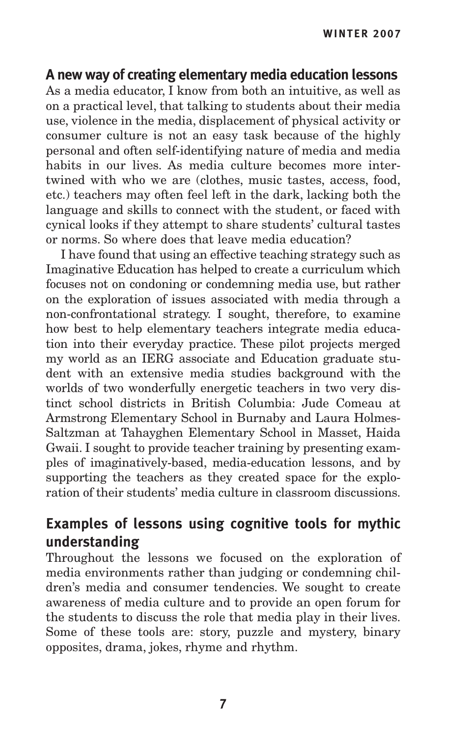# **A new way of creating elementary media education lessons**

As a media educator, I know from both an intuitive, as well as on a practical level, that talking to students about their media use, violence in the media, displacement of physical activity or consumer culture is not an easy task because of the highly personal and often self-identifying nature of media and media habits in our lives. As media culture becomes more intertwined with who we are (clothes, music tastes, access, food, etc.) teachers may often feel left in the dark, lacking both the language and skills to connect with the student, or faced with cynical looks if they attempt to share students' cultural tastes or norms. So where does that leave media education?

I have found that using an effective teaching strategy such as Imaginative Education has helped to create a curriculum which focuses not on condoning or condemning media use, but rather on the exploration of issues associated with media through a non-confrontational strategy. I sought, therefore, to examine how best to help elementary teachers integrate media education into their everyday practice. These pilot projects merged my world as an IERG associate and Education graduate student with an extensive media studies background with the worlds of two wonderfully energetic teachers in two very distinct school districts in British Columbia: Jude Comeau at Armstrong Elementary School in Burnaby and Laura Holmes-Saltzman at Tahayghen Elementary School in Masset, Haida Gwaii. I sought to provide teacher training by presenting examples of imaginatively-based, media-education lessons, and by supporting the teachers as they created space for the exploration of their students' media culture in classroom discussions.

# **Examples of lessons using cognitive tools for mythic understanding**

Throughout the lessons we focused on the exploration of media environments rather than judging or condemning children's media and consumer tendencies. We sought to create awareness of media culture and to provide an open forum for the students to discuss the role that media play in their lives. Some of these tools are: story, puzzle and mystery, binary opposites, drama, jokes, rhyme and rhythm.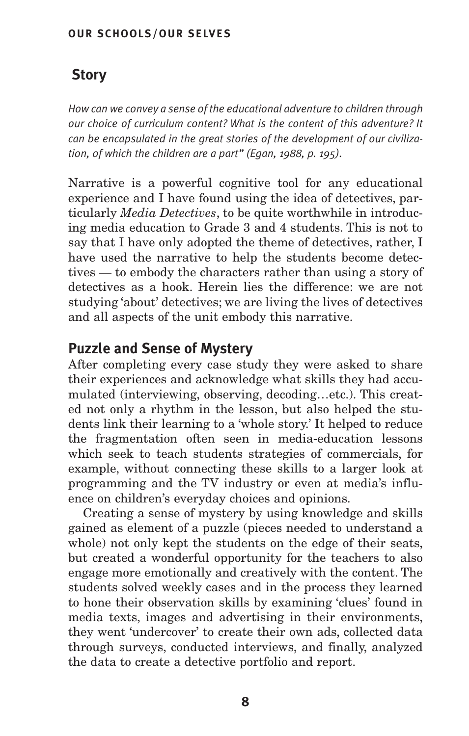#### **OUR SCHOOLS/OUR SELVES**

# **Story**

*How can we convey a sense of the educational adventure to children through our choice of curriculum content? What is the content of this adventure? It can be encapsulated in the great stories of the development of our civilization, of which the children are a part" (Egan, 1988, p. 195).*

Narrative is a powerful cognitive tool for any educational experience and I have found using the idea of detectives, particularly *Media Detectives*, to be quite worthwhile in introducing media education to Grade 3 and 4 students. This is not to say that I have only adopted the theme of detectives, rather, I have used the narrative to help the students become detectives — to embody the characters rather than using a story of detectives as a hook. Herein lies the difference: we are not studying 'about' detectives; we are living the lives of detectives and all aspects of the unit embody this narrative.

## **Puzzle and Sense of Mystery**

After completing every case study they were asked to share their experiences and acknowledge what skills they had accumulated (interviewing, observing, decoding…etc.). This created not only a rhythm in the lesson, but also helped the students link their learning to a 'whole story.' It helped to reduce the fragmentation often seen in media-education lessons which seek to teach students strategies of commercials, for example, without connecting these skills to a larger look at programming and the TV industry or even at media's influence on children's everyday choices and opinions.

Creating a sense of mystery by using knowledge and skills gained as element of a puzzle (pieces needed to understand a whole) not only kept the students on the edge of their seats, but created a wonderful opportunity for the teachers to also engage more emotionally and creatively with the content. The students solved weekly cases and in the process they learned to hone their observation skills by examining 'clues' found in media texts, images and advertising in their environments, they went 'undercover' to create their own ads, collected data through surveys, conducted interviews, and finally, analyzed the data to create a detective portfolio and report.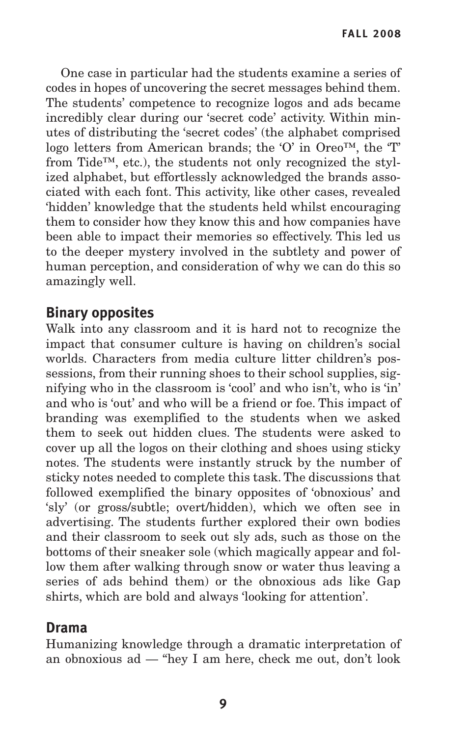One case in particular had the students examine a series of codes in hopes of uncovering the secret messages behind them. The students' competence to recognize logos and ads became incredibly clear during our 'secret code' activity. Within minutes of distributing the 'secret codes' (the alphabet comprised logo letters from American brands; the 'O' in Oreo™, the 'T' from Tide™, etc.), the students not only recognized the stylized alphabet, but effortlessly acknowledged the brands associated with each font. This activity, like other cases, revealed 'hidden' knowledge that the students held whilst encouraging them to consider how they know this and how companies have been able to impact their memories so effectively. This led us to the deeper mystery involved in the subtlety and power of human perception, and consideration of why we can do this so amazingly well.

## **Binary opposites**

Walk into any classroom and it is hard not to recognize the impact that consumer culture is having on children's social worlds. Characters from media culture litter children's possessions, from their running shoes to their school supplies, signifying who in the classroom is 'cool' and who isn't, who is 'in' and who is 'out' and who will be a friend or foe. This impact of branding was exemplified to the students when we asked them to seek out hidden clues. The students were asked to cover up all the logos on their clothing and shoes using sticky notes. The students were instantly struck by the number of sticky notes needed to complete this task. The discussions that followed exemplified the binary opposites of 'obnoxious' and 'sly' (or gross/subtle; overt/hidden), which we often see in advertising. The students further explored their own bodies and their classroom to seek out sly ads, such as those on the bottoms of their sneaker sole (which magically appear and follow them after walking through snow or water thus leaving a series of ads behind them) or the obnoxious ads like Gap shirts, which are bold and always 'looking for attention'.

## **Drama**

Humanizing knowledge through a dramatic interpretation of an obnoxious ad — "hey I am here, check me out, don't look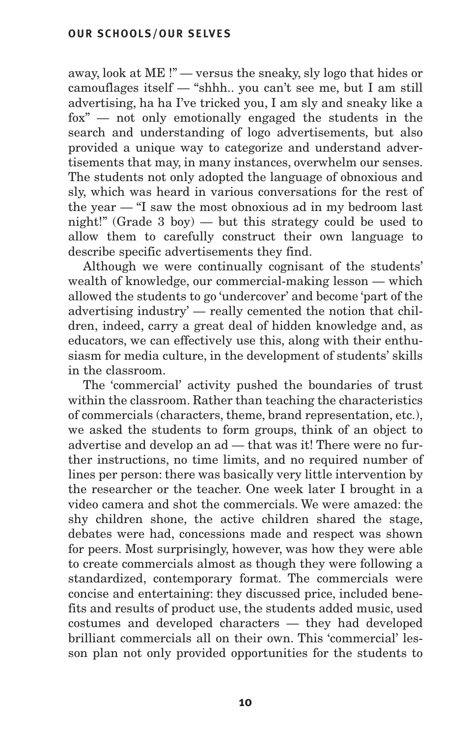away, look at ME !" — versus the sneaky, sly logo that hides or camouflages itself — "shhh.. you can't see me, but I am still advertising, ha ha I've tricked you, I am sly and sneaky like a fox" — not only emotionally engaged the students in the search and understanding of logo advertisements, but also provided a unique way to categorize and understand advertisements that may, in many instances, overwhelm our senses. The students not only adopted the language of obnoxious and sly, which was heard in various conversations for the rest of the year — "I saw the most obnoxious ad in my bedroom last night!" (Grade 3 boy) — but this strategy could be used to allow them to carefully construct their own language to describe specific advertisements they find.

Although we were continually cognisant of the students' wealth of knowledge, our commercial-making lesson — which allowed the students to go 'undercover' and become 'part of the advertising industry' — really cemented the notion that children, indeed, carry a great deal of hidden knowledge and, as educators, we can effectively use this, along with their enthusiasm for media culture, in the development of students' skills in the classroom.

The 'commercial' activity pushed the boundaries of trust within the classroom. Rather than teaching the characteristics of commercials (characters, theme, brand representation, etc.), we asked the students to form groups, think of an object to advertise and develop an ad — that was it! There were no further instructions, no time limits, and no required number of lines per person: there was basically very little intervention by the researcher or the teacher. One week later I brought in a video camera and shot the commercials. We were amazed: the shy children shone, the active children shared the stage, debates were had, concessions made and respect was shown for peers. Most surprisingly, however, was how they were able to create commercials almost as though they were following a standardized, contemporary format. The commercials were concise and entertaining: they discussed price, included benefits and results of product use, the students added music, used costumes and developed characters — they had developed brilliant commercials all on their own. This 'commercial' lesson plan not only provided opportunities for the students to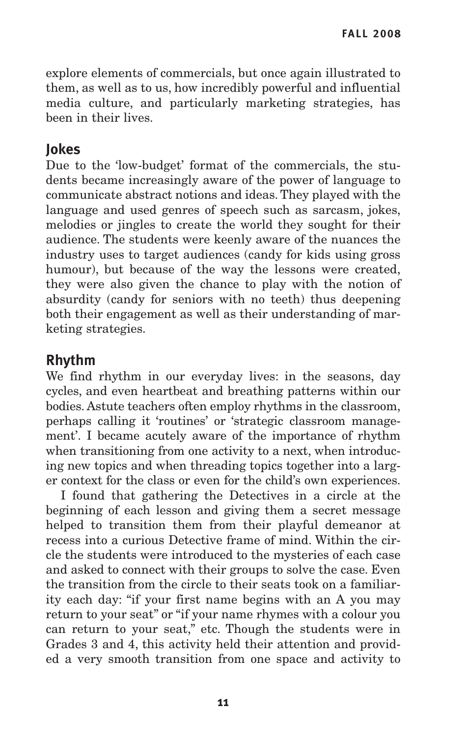explore elements of commercials, but once again illustrated to them, as well as to us, how incredibly powerful and influential media culture, and particularly marketing strategies, has been in their lives.

## **Jokes**

Due to the 'low-budget' format of the commercials, the students became increasingly aware of the power of language to communicate abstract notions and ideas. They played with the language and used genres of speech such as sarcasm, jokes, melodies or jingles to create the world they sought for their audience. The students were keenly aware of the nuances the industry uses to target audiences (candy for kids using gross humour), but because of the way the lessons were created, they were also given the chance to play with the notion of absurdity (candy for seniors with no teeth) thus deepening both their engagement as well as their understanding of marketing strategies.

## **Rhythm**

We find rhythm in our everyday lives: in the seasons, day cycles, and even heartbeat and breathing patterns within our bodies. Astute teachers often employ rhythms in the classroom, perhaps calling it 'routines' or 'strategic classroom management'. I became acutely aware of the importance of rhythm when transitioning from one activity to a next, when introducing new topics and when threading topics together into a larger context for the class or even for the child's own experiences.

I found that gathering the Detectives in a circle at the beginning of each lesson and giving them a secret message helped to transition them from their playful demeanor at recess into a curious Detective frame of mind. Within the circle the students were introduced to the mysteries of each case and asked to connect with their groups to solve the case. Even the transition from the circle to their seats took on a familiarity each day: "if your first name begins with an A you may return to your seat" or "if your name rhymes with a colour you can return to your seat," etc. Though the students were in Grades 3 and 4, this activity held their attention and provided a very smooth transition from one space and activity to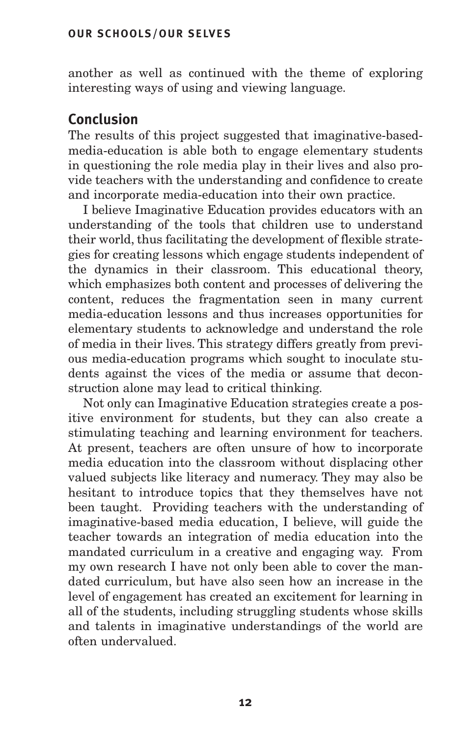another as well as continued with the theme of exploring interesting ways of using and viewing language.

# **Conclusion**

The results of this project suggested that imaginative-basedmedia-education is able both to engage elementary students in questioning the role media play in their lives and also provide teachers with the understanding and confidence to create and incorporate media-education into their own practice.

I believe Imaginative Education provides educators with an understanding of the tools that children use to understand their world, thus facilitating the development of flexible strategies for creating lessons which engage students independent of the dynamics in their classroom. This educational theory, which emphasizes both content and processes of delivering the content, reduces the fragmentation seen in many current media-education lessons and thus increases opportunities for elementary students to acknowledge and understand the role of media in their lives. This strategy differs greatly from previous media-education programs which sought to inoculate students against the vices of the media or assume that deconstruction alone may lead to critical thinking.

Not only can Imaginative Education strategies create a positive environment for students, but they can also create a stimulating teaching and learning environment for teachers. At present, teachers are often unsure of how to incorporate media education into the classroom without displacing other valued subjects like literacy and numeracy. They may also be hesitant to introduce topics that they themselves have not been taught. Providing teachers with the understanding of imaginative-based media education, I believe, will guide the teacher towards an integration of media education into the mandated curriculum in a creative and engaging way. From my own research I have not only been able to cover the mandated curriculum, but have also seen how an increase in the level of engagement has created an excitement for learning in all of the students, including struggling students whose skills and talents in imaginative understandings of the world are often undervalued.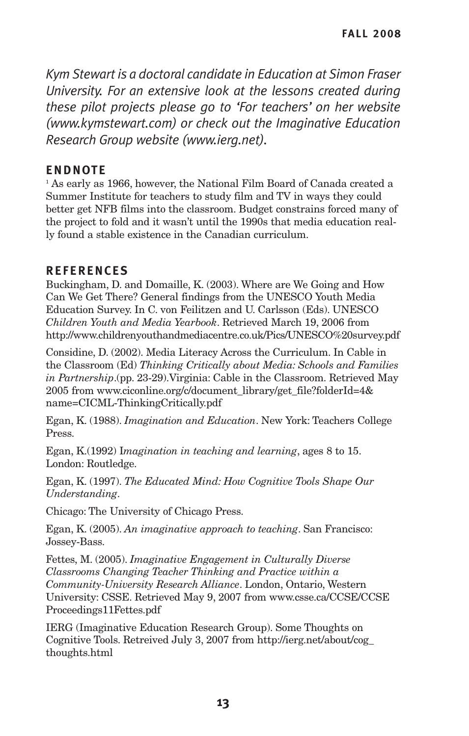*Kym Stewart is a doctoral candidate in Education at Simon Fraser University. For an extensive look at the lessons created during these pilot projects please go to 'For teachers' on her website (www.kymstewart.com) or check out the Imaginative Education Research Group website (www.ierg.net).*

## **ENDNOTE**

<sup>1</sup> As early as 1966, however, the National Film Board of Canada created a Summer Institute for teachers to study film and TV in ways they could better get NFB films into the classroom. Budget constrains forced many of the project to fold and it wasn't until the 1990s that media education really found a stable existence in the Canadian curriculum.

## **REFERENCES**

Buckingham, D. and Domaille, K. (2003). Where are We Going and How Can We Get There? General findings from the UNESCO Youth Media Education Survey. In C. von Feilitzen and U. Carlsson (Eds). UNESCO *Children Youth and Media Yearbook*. Retrieved March 19, 2006 from http://www.childrenyouthandmediacentre.co.uk/Pics/UNESCO%20survey.pdf

Considine, D. (2002). Media Literacy Across the Curriculum. In Cable in the Classroom (Ed) *Thinking Critically about Media: Schools and Families in Partnership*.(pp. 23-29).Virginia: Cable in the Classroom. Retrieved May 2005 from www.ciconline.org/c/document\_library/get\_file?folderId=4& name=CICML-ThinkingCritically.pdf

Egan, K. (1988). *Imagination and Education*. New York: Teachers College Press.

Egan, K.(1992) I*magination in teaching and learning*, ages 8 to 15. London: Routledge.

Egan, K. (1997). *The Educated Mind: How Cognitive Tools Shape Our Understanding*.

Chicago: The University of Chicago Press.

Egan, K. (2005). *An imaginative approach to teaching*. San Francisco: Jossey-Bass.

Fettes, M. (2005). *Imaginative Engagement in Culturally Diverse Classrooms Changing Teacher Thinking and Practice within a Community-University Research Alliance*. London, Ontario, Western University: CSSE. Retrieved May 9, 2007 from www.csse.ca/CCSE/CCSE Proceedings11Fettes.pdf

IERG (Imaginative Education Research Group). Some Thoughts on Cognitive Tools. Retreived July 3, 2007 from http://ierg.net/about/cog\_ thoughts.html